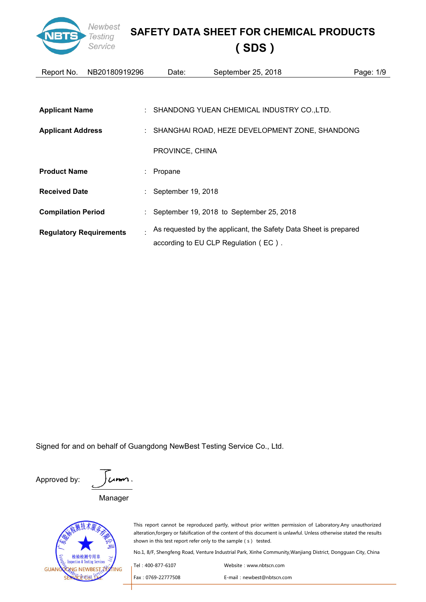

| Report No.                     | NB20180919296 | Date:                | September 25, 2018                                                 | Page: 1/9 |
|--------------------------------|---------------|----------------------|--------------------------------------------------------------------|-----------|
|                                |               |                      |                                                                    |           |
|                                |               |                      |                                                                    |           |
| <b>Applicant Name</b>          |               |                      | : SHANDONG YUEAN CHEMICAL INDUSTRY CO.,LTD.                        |           |
| <b>Applicant Address</b>       |               |                      | : SHANGHAI ROAD, HEZE DEVELOPMENT ZONE, SHANDONG                   |           |
|                                |               | PROVINCE, CHINA      |                                                                    |           |
| <b>Product Name</b>            |               | $:$ Propane          |                                                                    |           |
| <b>Received Date</b>           |               | : September 19, 2018 |                                                                    |           |
| <b>Compilation Period</b>      |               |                      | : September 19, 2018 to September 25, 2018                         |           |
| <b>Regulatory Requirements</b> |               |                      | . As requested by the applicant, the Safety Data Sheet is prepared |           |
|                                |               |                      | according to EU CLP Regulation (EC).                               |           |

Signed for and on behalf of Guangdong NewBest Testing Service Co., Ltd.

Approved by:  $\int \mathcal{L} \mathbf{m} \mathbf{m}$ . Manager

耐专用音 GUAN ING **IG NEWBEST** 

This report cannot be reproduced partly, without prior written permission of Laboratory.Any unauthorized alteration,forgery or falsification of the content of this document is unlawful. Unless otherwise stated the results shown in this test report refer only to the sample (s) tested.

| . Tel : 400-877-6107 | Website: www.nbtscn.com    |
|----------------------|----------------------------|
| Fax: 0769-22777508   | E-mail: newbest@nbtscn.com |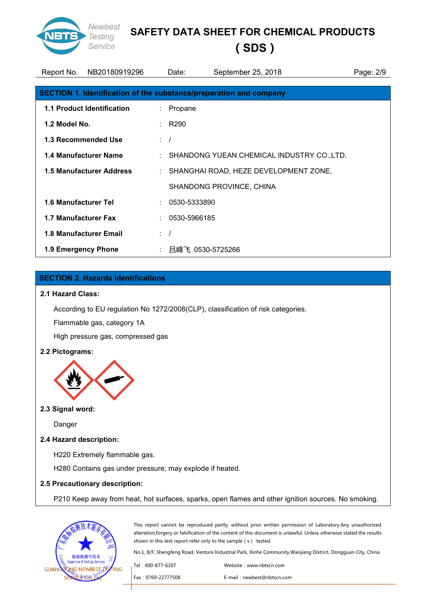

# **(SDS)**

| Report No.           | NB20180919296                     |                   | September 25, 2018<br>Date:                                        | Page: 2/9 |
|----------------------|-----------------------------------|-------------------|--------------------------------------------------------------------|-----------|
|                      |                                   |                   | SECTION 1. Identification of the substance/preparation and company |           |
|                      | <b>1.1 Product Identification</b> |                   | : Propane                                                          |           |
| 1.2 Model No.        |                                   | $\therefore$ R290 |                                                                    |           |
|                      | <b>1.3 Recommended Use</b>        | $\therefore$ /    |                                                                    |           |
|                      | <b>1.4 Manufacturer Name</b>      |                   | : SHANDONG YUEAN CHEMICAL INDUSTRY CO.,LTD.                        |           |
|                      | <b>1.5 Manufacturer Address</b>   |                   | : SHANGHAI ROAD, HEZE DEVELOPMENT ZONE,                            |           |
|                      |                                   |                   | SHANDONG PROVINCE, CHINA                                           |           |
| 1.6 Manufacturer Tel |                                   |                   | $: 0530 - 5333890$                                                 |           |
| 1.7 Manufacturer Fax |                                   |                   | $: 0530 - 5966185$                                                 |           |
|                      | <b>1.8 Manufacturer Email</b>     | $\therefore$ /    |                                                                    |           |
| 1.9 Emergency Phone  |                                   |                   | : 吕峰飞 0530-5725266                                                 |           |

## **SECTION 2. Hazards identifications**

#### **2.1 Hazard Class:**

According to EU regulation No 1272/2008(CLP), classification of risk categories.

Flammable gas, category 1A

High pressure gas, compressed gas

#### **2.2 Pictograms:**



#### **2.3 Signal word:**

Danger

#### **2.4 Hazard description:**

H220 Extremely flammable gas.

H280 Contains gas under pressure; may explode if heated.

#### **2.5 Precautionary description:**

P210 Keep away from heat, hot surfaces, sparks, open flames and other ignition sources. No smoking.



This report cannot be reproduced partly, without prior written permission of Laboratory.Any unauthorized alteration,forgery or falsification of the content of this document is unlawful. Unless otherwise stated the results shown in this test report refer only to the sample (s) tested.

| Tel: 400-877-6107  | Website: www.nbtscn.com    |
|--------------------|----------------------------|
| Fax: 0769-22777508 | E-mail: newbest@nbtscn.com |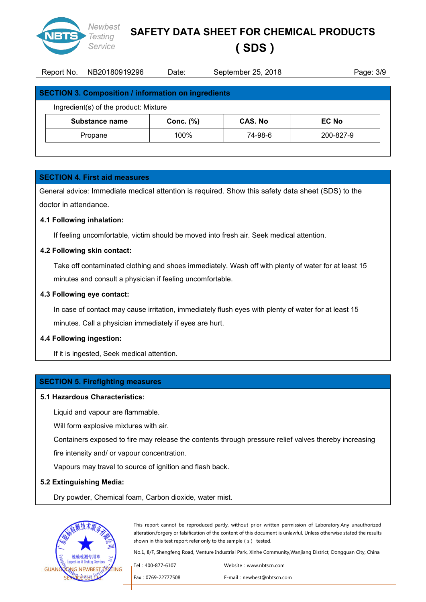

**(SDS)**

| Report No. | NB20180919296                                              | Date:        | September 25, 2018 | Page: 3/9 |
|------------|------------------------------------------------------------|--------------|--------------------|-----------|
|            |                                                            |              |                    |           |
|            | <b>SECTION 3. Composition / information on ingredients</b> |              |                    |           |
|            | Ingredient(s) of the product: Mixture                      |              |                    |           |
|            | Substance name                                             | Conc. $(\%)$ | <b>CAS. No</b>     | EC No     |
|            | Propane                                                    | 100%         | 74-98-6            | 200-827-9 |
|            |                                                            |              |                    |           |

#### **SECTION 4. First aid measures**

General advice: Immediate medical attention is required. Show this safety data sheet (SDS) to the doctor in attendance.

#### **4.1 Following inhalation:**

If feeling uncomfortable, victim should be moved into fresh air. Seek medical attention.

#### **4.2 Following skin contact:**

Take off contaminated clothing and shoes immediately. Wash off with plenty of water for at least 15 minutes and consult a physician if feeling uncomfortable.

#### **4.3 Following eye contact:**

In case of contact may cause irritation, immediately flush eyes with plenty of water for at least 15 minutes. Call a physician immediately if eyes are hurt.

#### **4.4 Following ingestion:**

If it is ingested, Seek medical attention.

#### **SECTION 5. Firefighting measures**

#### **5.1 Hazardous Characteristics:**

Liquid and vapour are flammable.

Will form explosive mixtures with air.

Containers exposed to fire may release the contents through pressure relief valves thereby increasing

fire intensity and/ or vapour concentration.

Vapours may travel to source of ignition and flash back.

#### **5.2 Extinguishing Media:**

Dry powder, Chemical foam, Carbon dioxide, water mist.



This report cannot be reproduced partly, without prior written permission of Laboratory.Any unauthorized alteration,forgery or falsification of the content of this document is unlawful. Unless otherwise stated the results shown in this test report refer only to the sample (s) tested.

| Tel: 400-877-6107  | Website: www.nbtscn.com    |
|--------------------|----------------------------|
| Fax: 0769-22777508 | E-mail: newbest@nbtscn.com |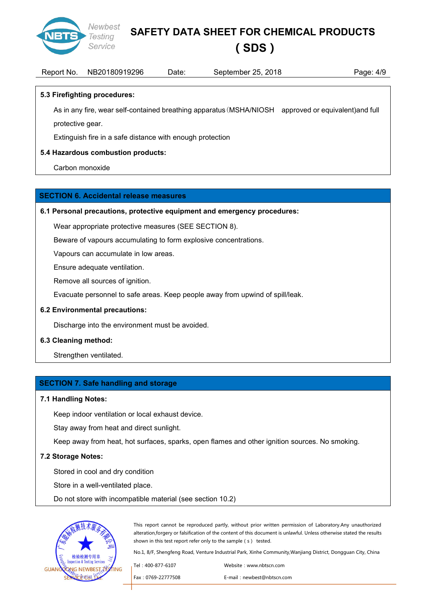

# **(SDS)**

| $\Delta$ /Q<br>19296<br>NB201<br>2018<br>180919<br>ウト<br>.<br>ember<br>Date<br>Page:<br>≀eport<br>-No<br>septem<br>ΖU<br>ت /⊤ |
|-------------------------------------------------------------------------------------------------------------------------------|
|-------------------------------------------------------------------------------------------------------------------------------|

#### **5.3 Firefighting procedures:**

As in any fire, wear self-contained breathing apparatus(MSHA/NIOSH approved or equivalent)and full

protective gear.

Extinguish fire in a safe distance with enough protection

## **5.4 Hazardous combustion products:**

Carbon monoxide

#### **SECTION 6. Accidental release measures**

#### **6.1 Personal precautions, protective equipment and emergency procedures:**

Wear appropriate protective measures (SEE SECTION 8).

Beware of vapours accumulating to form explosive concentrations.

Vapours can accumulate in low areas.

Ensure adequate ventilation.

Remove all sources of ignition.

Evacuate personnel to safe areas. Keep people away from upwind of spill/leak.

#### **6.2 Environmental precautions:**

Discharge into the environment must be avoided.

#### **6.3 Cleaning method:**

Strengthen ventilated.

#### **SECTION 7. Safe handling and storage**

#### **7.1 Handling Notes:**

Keep indoor ventilation or local exhaust device.

Stay away from heat and direct sunlight.

Keep away from heat, hot surfaces, sparks, open flames and other ignition sources. No smoking.

#### **7.2 Storage Notes:**

Stored in cool and dry condition

Store in a well-ventilated place.

Do not store with incompatible material (see section 10.2)



This report cannot be reproduced partly, without prior written permission of Laboratory.Any unauthorized alteration,forgery or falsification of the content of this document is unlawful. Unless otherwise stated the results shown in this test report refer only to the sample (s) tested.

| . Tel : 400-877-6107 | Website: www.nbtscn.com    |
|----------------------|----------------------------|
| Fax: 0769-22777508   | E-mail: newbest@nbtscn.com |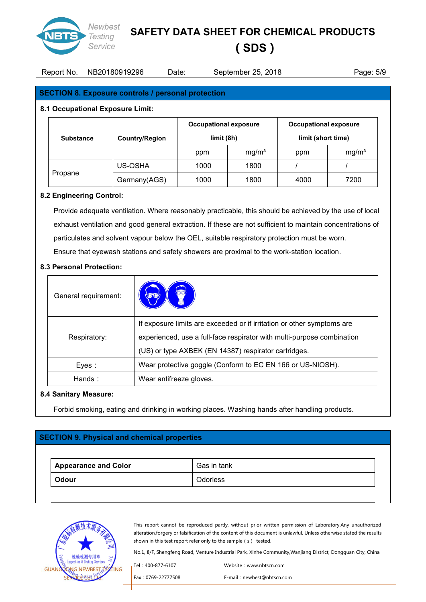

## **(SDS)**

## Report No. NB20180919296 Date: September 25, 2018 Page: 5/9

#### **SECTION 8. Exposure controls / personal protection**

#### **8.1 Occupational Exposure Limit:**

|                  |                       | <b>Occupational exposure</b> |                   | <b>Occupational exposure</b> |                   |
|------------------|-----------------------|------------------------------|-------------------|------------------------------|-------------------|
| <b>Substance</b> | <b>Country/Region</b> | limit (8h)                   |                   | limit (short time)           |                   |
|                  |                       | ppm                          | mg/m <sup>3</sup> | ppm                          | mg/m <sup>3</sup> |
|                  | US-OSHA               | 1000                         | 1800              |                              |                   |
| Propane          | Germany(AGS)          | 1000                         | 1800              | 4000                         | 7200              |

#### **8.2 Engineering Control:**

Provide adequate ventilation. Where reasonably practicable, this should be achieved by the use of local exhaust ventilation and good general extraction. If these are not sufficient to maintain concentrations of particulates and solvent vapour below the OEL, suitable respiratory protection must be worn. Ensure that eyewash stations and safety showers are proximal to the work-station location.

#### **8.3 Personal Protection:**

| General requirement: |                                                                        |  |
|----------------------|------------------------------------------------------------------------|--|
|                      | If exposure limits are exceeded or if irritation or other symptoms are |  |
| Respiratory:         | experienced, use a full-face respirator with multi-purpose combination |  |
|                      | (US) or type AXBEK (EN 14387) respirator cartridges.                   |  |
| Eyes:                | Wear protective goggle (Conform to EC EN 166 or US-NIOSH).             |  |
| Hands:               | Wear antifreeze gloves.                                                |  |

#### **8.4 Sanitary Measure:**

Forbid smoking, eating and drinking in working places. Washing hands after handling products.

# **SECTION 9. Physical and chemical properties Appearance and Color** Gas in tank **Odour Odorless**



This report cannot be reproduced partly, without prior written permission of Laboratory.Any unauthorized alteration,forgery or falsification of the content of this document is unlawful. Unless otherwise stated the results shown in this test report refer only to the sample (s) tested.

| . Tel : 400-877-6107 | Website: www.nbtscn.com    |
|----------------------|----------------------------|
| Fax: 0769-22777508   | E-mail: newbest@nbtscn.com |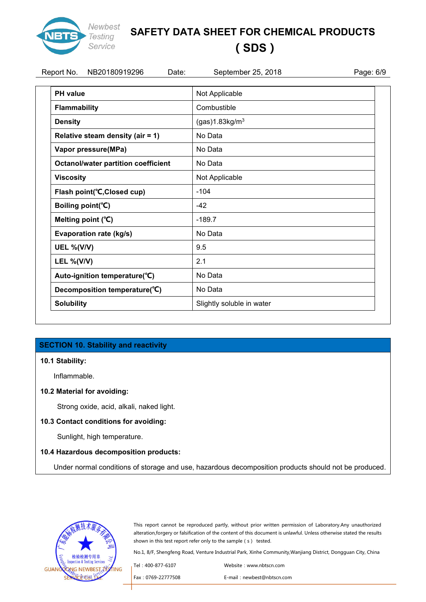

# **(SDS)**

| Report No.<br>NB20180919296<br>Date:       | September 25, 2018         | Page: 6/9 |
|--------------------------------------------|----------------------------|-----------|
| <b>PH</b> value                            | Not Applicable             |           |
| Flammability                               | Combustible                |           |
| <b>Density</b>                             | (gas)1.83kg/m <sup>3</sup> |           |
| Relative steam density (air = 1)           | No Data                    |           |
| Vapor pressure(MPa)                        | No Data                    |           |
| <b>Octanol/water partition coefficient</b> | No Data                    |           |
| <b>Viscosity</b>                           | Not Applicable             |           |
| Flash point(°C, Closed cup)                | $-104$                     |           |
| Boiling point(°C)                          | $-42$                      |           |
| Melting point (°C)                         | $-189.7$                   |           |
| Evaporation rate (kg/s)                    | No Data                    |           |
| <b>UEL %(V/V)</b>                          | 9.5                        |           |
| <b>LEL %(V/V)</b>                          | 2.1                        |           |
| Auto-ignition temperature(°C)              | No Data                    |           |
| Decomposition temperature(°C)              | No Data                    |           |
| <b>Solubility</b>                          | Slightly soluble in water  |           |

## **SECTION 10. Stability and reactivity**

#### **10.1 Stability:**

Inflammable.

#### **10.2 Material for avoiding:**

Strong oxide, acid, alkali, naked light.

#### **10.3 Contact conditions for avoiding:**

Sunlight, high temperature.

#### **10.4 Hazardous decomposition products:**

Under normal conditions of storage and use, hazardous decomposition products should not be produced.



This report cannot be reproduced partly, without prior written permission of Laboratory.Any unauthorized alteration,forgery or falsification of the content of this document is unlawful. Unless otherwise stated the results shown in this test report refer only to the sample (s) tested.

| Tel : 400-877-6107 | Website: www.nbtscn.com    |
|--------------------|----------------------------|
| Fax: 0769-22777508 | E-mail: newbest@nbtscn.com |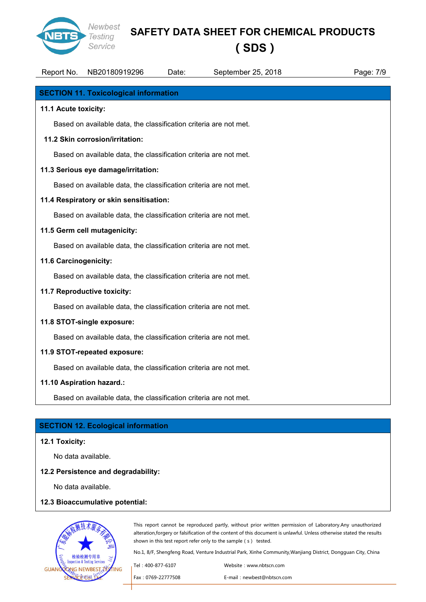

# **(SDS)**

| Report No.                   | NB20180919296                                                     | Date: | September 25, 2018 | Page: 7/9 |
|------------------------------|-------------------------------------------------------------------|-------|--------------------|-----------|
|                              | <b>SECTION 11. Toxicological information</b>                      |       |                    |           |
| 11.1 Acute toxicity:         |                                                                   |       |                    |           |
|                              | Based on available data, the classification criteria are not met. |       |                    |           |
|                              | 11.2 Skin corrosion/irritation:                                   |       |                    |           |
|                              | Based on available data, the classification criteria are not met. |       |                    |           |
|                              | 11.3 Serious eye damage/irritation:                               |       |                    |           |
|                              | Based on available data, the classification criteria are not met. |       |                    |           |
|                              | 11.4 Respiratory or skin sensitisation:                           |       |                    |           |
|                              | Based on available data, the classification criteria are not met. |       |                    |           |
|                              | 11.5 Germ cell mutagenicity:                                      |       |                    |           |
|                              | Based on available data, the classification criteria are not met. |       |                    |           |
| 11.6 Carcinogenicity:        |                                                                   |       |                    |           |
|                              | Based on available data, the classification criteria are not met. |       |                    |           |
|                              | 11.7 Reproductive toxicity:                                       |       |                    |           |
|                              | Based on available data, the classification criteria are not met. |       |                    |           |
|                              | 11.8 STOT-single exposure:                                        |       |                    |           |
|                              | Based on available data, the classification criteria are not met. |       |                    |           |
| 11.9 STOT-repeated exposure: |                                                                   |       |                    |           |
|                              | Based on available data, the classification criteria are not met. |       |                    |           |
|                              | 11.10 Aspiration hazard.:                                         |       |                    |           |
|                              | Based on available data, the classification criteria are not met. |       |                    |           |

#### **SECTION 12. Ecological information**

#### **12.1 Toxicity:**

No data available.

#### **12.2 Persistence and degradability:**

No data available.

#### **12.3 Bioaccumulative potential:**



This report cannot be reproduced partly, without prior written permission of Laboratory.Any unauthorized alteration,forgery or falsification of the content of this document is unlawful. Unless otherwise stated the results shown in this test report refer only to the sample (s) tested.

| . Tel : 400-877-6107 | Website: www.nbtscn.com    |
|----------------------|----------------------------|
| Fax: 0769-22777508   | E-mail: newbest@nbtscn.com |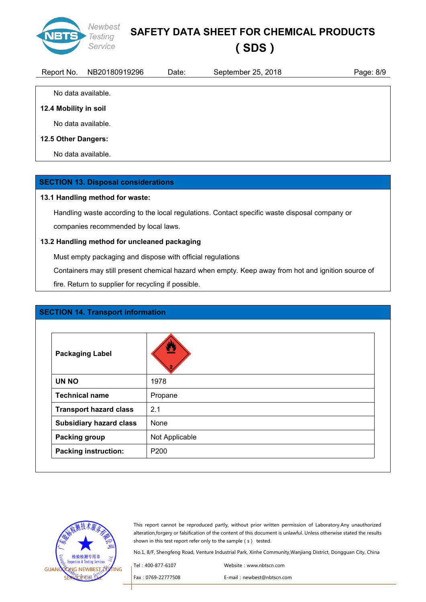

**(SDS)**

Report No. NB20180919296 Date: September 25, 2018 Page: 8/9

# **12.4 Mobility in soil**

No data available.

No data available.

#### **12.5 Other Dangers:**

No data available.

#### **SECTION 13. Disposal considerations**

#### **13.1 Handling method for waste:**

Handling waste according to the local regulations. Contact specific waste disposal company or companies recommended by local laws.

#### **13.2 Handling method for uncleaned packaging**

Must empty packaging and dispose with official regulations

Containers may still present chemical hazard when empty. Keep away from hot and ignition source of

fire. Return to supplier for recycling if possible.

#### **SECTION 14. Transport information**

| <b>Packaging Label</b>         |                |
|--------------------------------|----------------|
| <b>UN NO</b>                   | 1978           |
| <b>Technical name</b>          | Propane        |
| <b>Transport hazard class</b>  | 2.1            |
| <b>Subsidiary hazard class</b> | None           |
| <b>Packing group</b>           | Not Applicable |
| <b>Packing instruction:</b>    | P200           |



This report cannot be reproduced partly, without prior written permission of Laboratory.Any unauthorized alteration,forgery or falsification of the content of this document is unlawful. Unless otherwise stated the results shown in this test report refer only to the sample (s) tested.

| Tel : 400-877-6107 | Website: www.nbtscn.com    |
|--------------------|----------------------------|
| Fax: 0769-22777508 | E-mail: newbest@nbtscn.com |